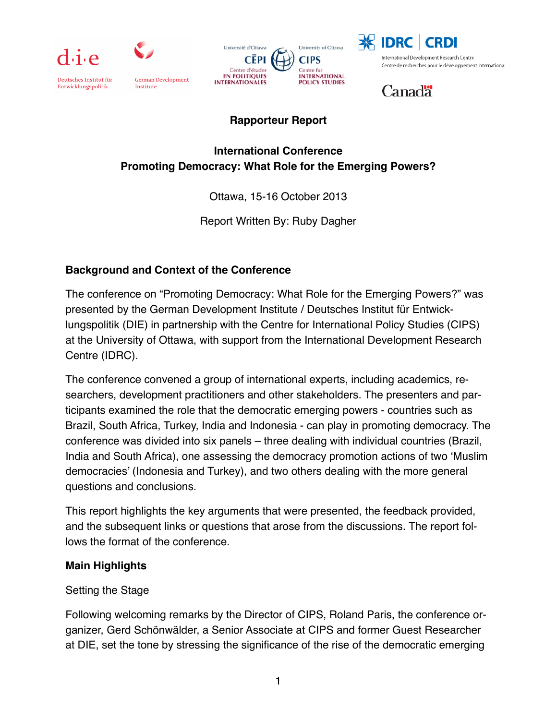

Deutsches Institut für

Entwicklungspolitik



Institute

German Development





International Development Research Centre Centre de recherches pour le développement international

**Canadä** 

# **Rapporteur Report**

## **International Conference Promoting Democracy: What Role for the Emerging Powers?**

Ottawa, 15-16 October 2013

Report Written By: Ruby Dagher

# **Background and Context of the Conference**

The conference on "Promoting Democracy: What Role for the Emerging Powers?" was presented by the German Development Institute / Deutsches Institut für Entwicklungspolitik (DIE) in partnership with the Centre for International Policy Studies (CIPS) at the University of Ottawa, with support from the International Development Research Centre (IDRC).

The conference convened a group of international experts, including academics, researchers, development practitioners and other stakeholders. The presenters and participants examined the role that the democratic emerging powers - countries such as Brazil, South Africa, Turkey, India and Indonesia - can play in promoting democracy. The conference was divided into six panels – three dealing with individual countries (Brazil, India and South Africa), one assessing the democracy promotion actions of two 'Muslim democracies' (Indonesia and Turkey), and two others dealing with the more general questions and conclusions.

This report highlights the key arguments that were presented, the feedback provided, and the subsequent links or questions that arose from the discussions. The report follows the format of the conference.

### **Main Highlights**

### **Setting the Stage**

Following welcoming remarks by the Director of CIPS, Roland Paris, the conference organizer, Gerd Schönwälder, a Senior Associate at CIPS and former Guest Researcher at DIE, set the tone by stressing the significance of the rise of the democratic emerging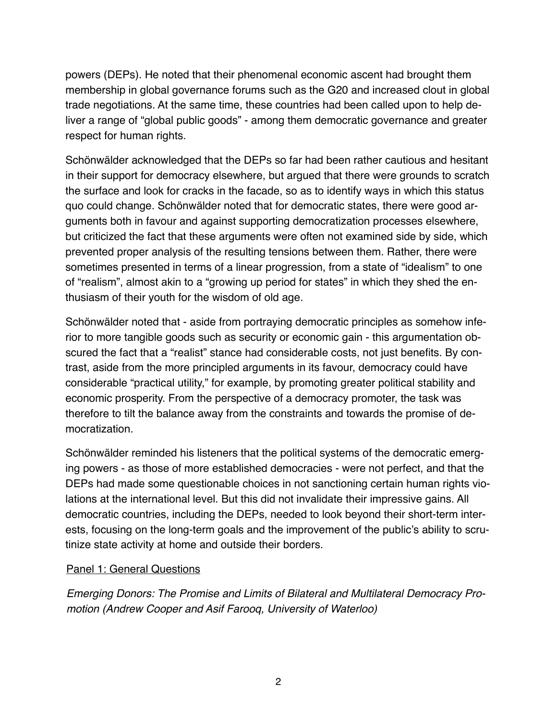powers (DEPs). He noted that their phenomenal economic ascent had brought them membership in global governance forums such as the G20 and increased clout in global trade negotiations. At the same time, these countries had been called upon to help deliver a range of "global public goods" - among them democratic governance and greater respect for human rights.

Schönwälder acknowledged that the DEPs so far had been rather cautious and hesitant in their support for democracy elsewhere, but argued that there were grounds to scratch the surface and look for cracks in the facade, so as to identify ways in which this status quo could change. Schönwälder noted that for democratic states, there were good arguments both in favour and against supporting democratization processes elsewhere, but criticized the fact that these arguments were often not examined side by side, which prevented proper analysis of the resulting tensions between them. Rather, there were sometimes presented in terms of a linear progression, from a state of "idealism" to one of "realism", almost akin to a "growing up period for states" in which they shed the enthusiasm of their youth for the wisdom of old age.

Schönwälder noted that - aside from portraying democratic principles as somehow inferior to more tangible goods such as security or economic gain - this argumentation obscured the fact that a "realist" stance had considerable costs, not just benefits. By contrast, aside from the more principled arguments in its favour, democracy could have considerable "practical utility," for example, by promoting greater political stability and economic prosperity. From the perspective of a democracy promoter, the task was therefore to tilt the balance away from the constraints and towards the promise of democratization.

Schönwälder reminded his listeners that the political systems of the democratic emerging powers - as those of more established democracies - were not perfect, and that the DEPs had made some questionable choices in not sanctioning certain human rights violations at the international level. But this did not invalidate their impressive gains. All democratic countries, including the DEPs, needed to look beyond their short-term interests, focusing on the long-term goals and the improvement of the public's ability to scrutinize state activity at home and outside their borders.

#### Panel 1: General Questions

*Emerging Donors: The Promise and Limits of Bilateral and Multilateral Democracy Promotion (Andrew Cooper and Asif Farooq, University of Waterloo)*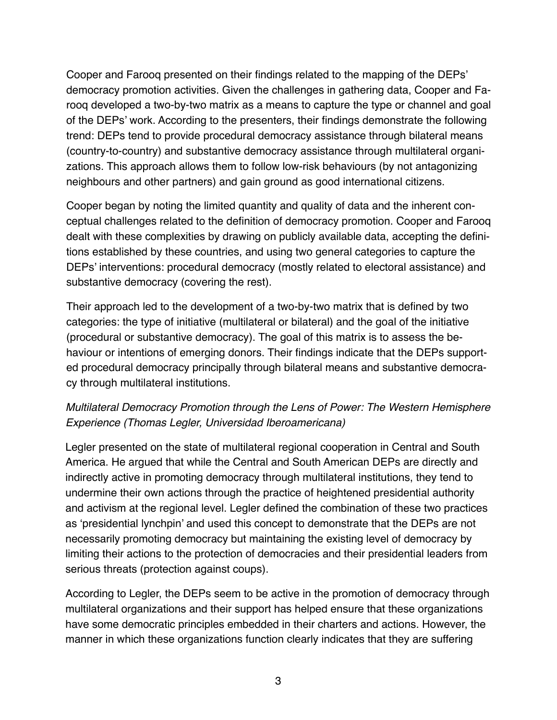Cooper and Farooq presented on their findings related to the mapping of the DEPs' democracy promotion activities. Given the challenges in gathering data, Cooper and Farooq developed a two-by-two matrix as a means to capture the type or channel and goal of the DEPs' work. According to the presenters, their findings demonstrate the following trend: DEPs tend to provide procedural democracy assistance through bilateral means (country-to-country) and substantive democracy assistance through multilateral organizations. This approach allows them to follow low-risk behaviours (by not antagonizing neighbours and other partners) and gain ground as good international citizens.

Cooper began by noting the limited quantity and quality of data and the inherent conceptual challenges related to the definition of democracy promotion. Cooper and Farooq dealt with these complexities by drawing on publicly available data, accepting the definitions established by these countries, and using two general categories to capture the DEPs' interventions: procedural democracy (mostly related to electoral assistance) and substantive democracy (covering the rest).

Their approach led to the development of a two-by-two matrix that is defined by two categories: the type of initiative (multilateral or bilateral) and the goal of the initiative (procedural or substantive democracy). The goal of this matrix is to assess the behaviour or intentions of emerging donors. Their findings indicate that the DEPs supported procedural democracy principally through bilateral means and substantive democracy through multilateral institutions.

# *Multilateral Democracy Promotion through the Lens of Power: The Western Hemisphere Experience (Thomas Legler, Universidad Iberoamericana)*

Legler presented on the state of multilateral regional cooperation in Central and South America. He argued that while the Central and South American DEPs are directly and indirectly active in promoting democracy through multilateral institutions, they tend to undermine their own actions through the practice of heightened presidential authority and activism at the regional level. Legler defined the combination of these two practices as 'presidential lynchpin' and used this concept to demonstrate that the DEPs are not necessarily promoting democracy but maintaining the existing level of democracy by limiting their actions to the protection of democracies and their presidential leaders from serious threats (protection against coups).

According to Legler, the DEPs seem to be active in the promotion of democracy through multilateral organizations and their support has helped ensure that these organizations have some democratic principles embedded in their charters and actions. However, the manner in which these organizations function clearly indicates that they are suffering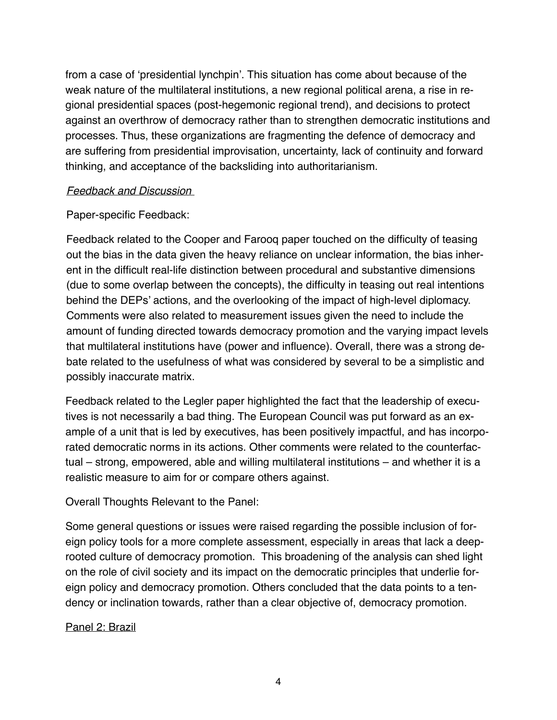from a case of 'presidential lynchpin'. This situation has come about because of the weak nature of the multilateral institutions, a new regional political arena, a rise in regional presidential spaces (post-hegemonic regional trend), and decisions to protect against an overthrow of democracy rather than to strengthen democratic institutions and processes. Thus, these organizations are fragmenting the defence of democracy and are suffering from presidential improvisation, uncertainty, lack of continuity and forward thinking, and acceptance of the backsliding into authoritarianism.

#### *Feedback and Discussion*

### Paper-specific Feedback:

Feedback related to the Cooper and Farooq paper touched on the difficulty of teasing out the bias in the data given the heavy reliance on unclear information, the bias inherent in the difficult real-life distinction between procedural and substantive dimensions (due to some overlap between the concepts), the difficulty in teasing out real intentions behind the DEPs' actions, and the overlooking of the impact of high-level diplomacy. Comments were also related to measurement issues given the need to include the amount of funding directed towards democracy promotion and the varying impact levels that multilateral institutions have (power and influence). Overall, there was a strong debate related to the usefulness of what was considered by several to be a simplistic and possibly inaccurate matrix.

Feedback related to the Legler paper highlighted the fact that the leadership of executives is not necessarily a bad thing. The European Council was put forward as an example of a unit that is led by executives, has been positively impactful, and has incorporated democratic norms in its actions. Other comments were related to the counterfactual – strong, empowered, able and willing multilateral institutions – and whether it is a realistic measure to aim for or compare others against.

Overall Thoughts Relevant to the Panel:

Some general questions or issues were raised regarding the possible inclusion of foreign policy tools for a more complete assessment, especially in areas that lack a deeprooted culture of democracy promotion. This broadening of the analysis can shed light on the role of civil society and its impact on the democratic principles that underlie foreign policy and democracy promotion. Others concluded that the data points to a tendency or inclination towards, rather than a clear objective of, democracy promotion.

### Panel 2: Brazil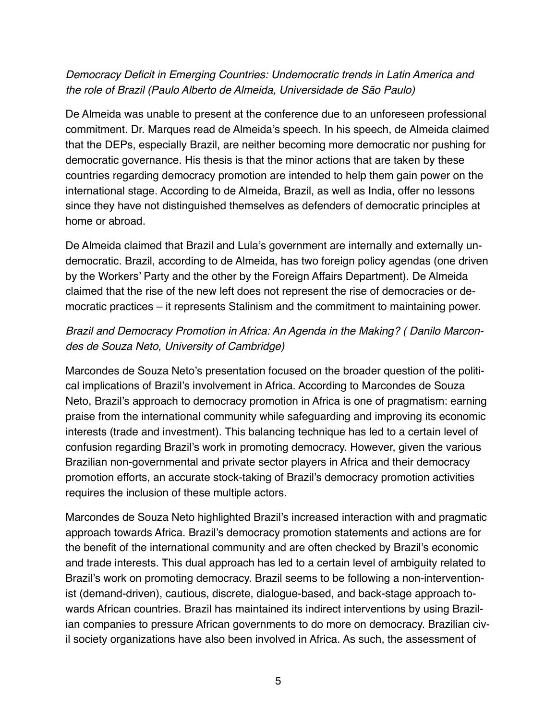### *Democracy Deficit in Emerging Countries: Undemocratic trends in Latin America and the role of Brazil (Paulo Alberto de Almeida, Universidade de São Paulo)*

De Almeida was unable to present at the conference due to an unforeseen professional commitment. Dr. Marques read de Almeida's speech. In his speech, de Almeida claimed that the DEPs, especially Brazil, are neither becoming more democratic nor pushing for democratic governance. His thesis is that the minor actions that are taken by these countries regarding democracy promotion are intended to help them gain power on the international stage. According to de Almeida, Brazil, as well as India, offer no lessons since they have not distinguished themselves as defenders of democratic principles at home or abroad.

De Almeida claimed that Brazil and Lula's government are internally and externally undemocratic. Brazil, according to de Almeida, has two foreign policy agendas (one driven by the Workers' Party and the other by the Foreign Affairs Department). De Almeida claimed that the rise of the new left does not represent the rise of democracies or democratic practices – it represents Stalinism and the commitment to maintaining power.

## *Brazil and Democracy Promotion in Africa: An Agenda in the Making? ( Danilo Marcondes de Souza Neto, University of Cambridge)*

Marcondes de Souza Neto's presentation focused on the broader question of the political implications of Brazil's involvement in Africa. According to Marcondes de Souza Neto, Brazil's approach to democracy promotion in Africa is one of pragmatism: earning praise from the international community while safeguarding and improving its economic interests (trade and investment). This balancing technique has led to a certain level of confusion regarding Brazil's work in promoting democracy. However, given the various Brazilian non-governmental and private sector players in Africa and their democracy promotion efforts, an accurate stock-taking of Brazil's democracy promotion activities requires the inclusion of these multiple actors.

Marcondes de Souza Neto highlighted Brazil's increased interaction with and pragmatic approach towards Africa. Brazil's democracy promotion statements and actions are for the benefit of the international community and are often checked by Brazil's economic and trade interests. This dual approach has led to a certain level of ambiguity related to Brazil's work on promoting democracy. Brazil seems to be following a non-interventionist (demand-driven), cautious, discrete, dialogue-based, and back-stage approach towards African countries. Brazil has maintained its indirect interventions by using Brazilian companies to pressure African governments to do more on democracy. Brazilian civil society organizations have also been involved in Africa. As such, the assessment of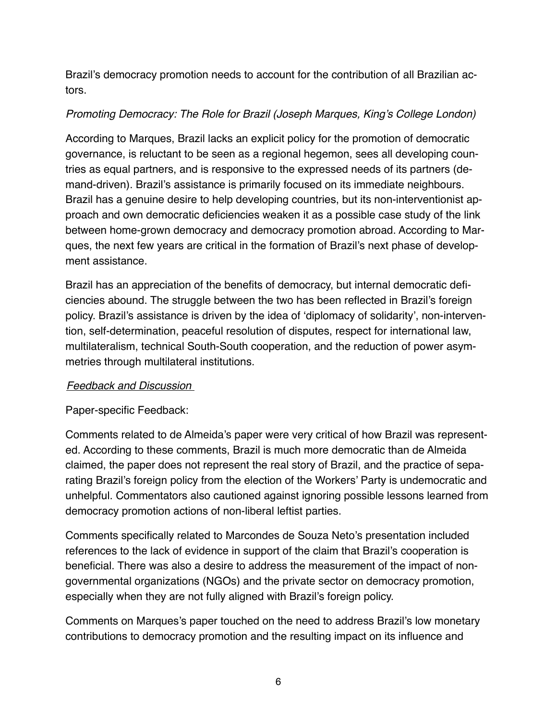Brazil's democracy promotion needs to account for the contribution of all Brazilian actors.

#### *Promoting Democracy: The Role for Brazil (Joseph Marques, King's College London)*

According to Marques, Brazil lacks an explicit policy for the promotion of democratic governance, is reluctant to be seen as a regional hegemon, sees all developing countries as equal partners, and is responsive to the expressed needs of its partners (demand-driven). Brazil's assistance is primarily focused on its immediate neighbours. Brazil has a genuine desire to help developing countries, but its non-interventionist approach and own democratic deficiencies weaken it as a possible case study of the link between home-grown democracy and democracy promotion abroad. According to Marques, the next few years are critical in the formation of Brazil's next phase of development assistance.

Brazil has an appreciation of the benefits of democracy, but internal democratic deficiencies abound. The struggle between the two has been reflected in Brazil's foreign policy. Brazil's assistance is driven by the idea of 'diplomacy of solidarity', non-intervention, self-determination, peaceful resolution of disputes, respect for international law, multilateralism, technical South-South cooperation, and the reduction of power asymmetries through multilateral institutions.

#### *Feedback and Discussion*

Paper-specific Feedback:

Comments related to de Almeida's paper were very critical of how Brazil was represented. According to these comments, Brazil is much more democratic than de Almeida claimed, the paper does not represent the real story of Brazil, and the practice of separating Brazil's foreign policy from the election of the Workers' Party is undemocratic and unhelpful. Commentators also cautioned against ignoring possible lessons learned from democracy promotion actions of non-liberal leftist parties.

Comments specifically related to Marcondes de Souza Neto's presentation included references to the lack of evidence in support of the claim that Brazil's cooperation is beneficial. There was also a desire to address the measurement of the impact of nongovernmental organizations (NGOs) and the private sector on democracy promotion, especially when they are not fully aligned with Brazil's foreign policy.

Comments on Marques's paper touched on the need to address Brazil's low monetary contributions to democracy promotion and the resulting impact on its influence and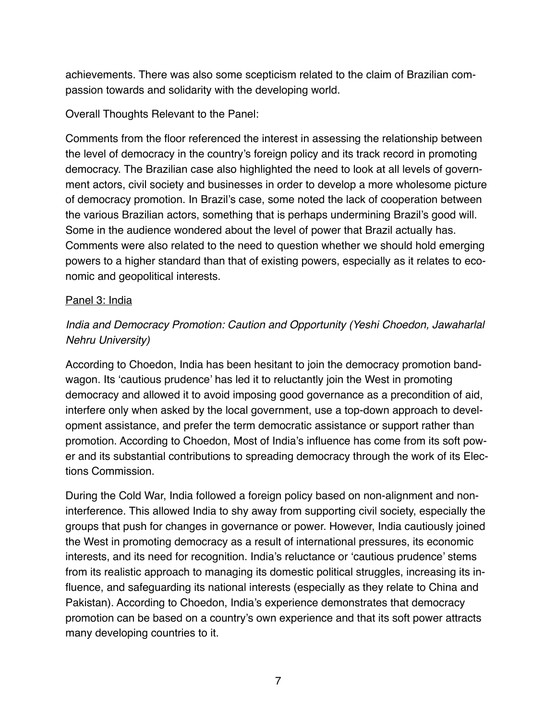achievements. There was also some scepticism related to the claim of Brazilian compassion towards and solidarity with the developing world.

Overall Thoughts Relevant to the Panel:

Comments from the floor referenced the interest in assessing the relationship between the level of democracy in the country's foreign policy and its track record in promoting democracy. The Brazilian case also highlighted the need to look at all levels of government actors, civil society and businesses in order to develop a more wholesome picture of democracy promotion. In Brazil's case, some noted the lack of cooperation between the various Brazilian actors, something that is perhaps undermining Brazil's good will. Some in the audience wondered about the level of power that Brazil actually has. Comments were also related to the need to question whether we should hold emerging powers to a higher standard than that of existing powers, especially as it relates to economic and geopolitical interests.

#### Panel 3: India

## *India and Democracy Promotion: Caution and Opportunity (Yeshi Choedon, Jawaharlal Nehru University)*

According to Choedon, India has been hesitant to join the democracy promotion bandwagon. Its 'cautious prudence' has led it to reluctantly join the West in promoting democracy and allowed it to avoid imposing good governance as a precondition of aid, interfere only when asked by the local government, use a top-down approach to development assistance, and prefer the term democratic assistance or support rather than promotion. According to Choedon, Most of India's influence has come from its soft power and its substantial contributions to spreading democracy through the work of its Elections Commission.

During the Cold War, India followed a foreign policy based on non-alignment and noninterference. This allowed India to shy away from supporting civil society, especially the groups that push for changes in governance or power. However, India cautiously joined the West in promoting democracy as a result of international pressures, its economic interests, and its need for recognition. India's reluctance or 'cautious prudence' stems from its realistic approach to managing its domestic political struggles, increasing its influence, and safeguarding its national interests (especially as they relate to China and Pakistan). According to Choedon, India's experience demonstrates that democracy promotion can be based on a country's own experience and that its soft power attracts many developing countries to it.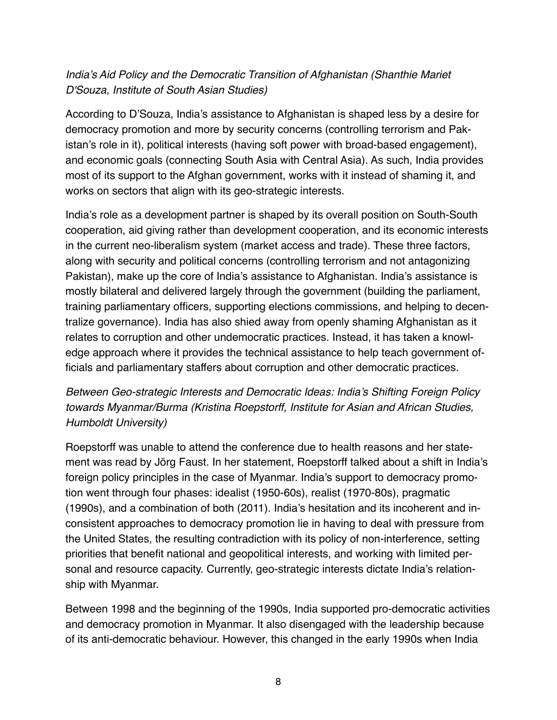## *India's Aid Policy and the Democratic Transition of Afghanistan (Shanthie Mariet D'Souza, Institute of South Asian Studies)*

According to D'Souza, India's assistance to Afghanistan is shaped less by a desire for democracy promotion and more by security concerns (controlling terrorism and Pakistan's role in it), political interests (having soft power with broad-based engagement), and economic goals (connecting South Asia with Central Asia). As such, India provides most of its support to the Afghan government, works with it instead of shaming it, and works on sectors that align with its geo-strategic interests.

India's role as a development partner is shaped by its overall position on South-South cooperation, aid giving rather than development cooperation, and its economic interests in the current neo-liberalism system (market access and trade). These three factors, along with security and political concerns (controlling terrorism and not antagonizing Pakistan), make up the core of India's assistance to Afghanistan. India's assistance is mostly bilateral and delivered largely through the government (building the parliament, training parliamentary officers, supporting elections commissions, and helping to decentralize governance). India has also shied away from openly shaming Afghanistan as it relates to corruption and other undemocratic practices. Instead, it has taken a knowledge approach where it provides the technical assistance to help teach government officials and parliamentary staffers about corruption and other democratic practices.

## *Between Geo-strategic Interests and Democratic Ideas: India's Shifting Foreign Policy towards Myanmar/Burma (Kristina Roepstorff, Institute for Asian and African Studies, Humboldt University)*

Roepstorff was unable to attend the conference due to health reasons and her statement was read by Jörg Faust. In her statement, Roepstorff talked about a shift in India's foreign policy principles in the case of Myanmar. India's support to democracy promotion went through four phases: idealist (1950-60s), realist (1970-80s), pragmatic (1990s), and a combination of both (2011). India's hesitation and its incoherent and inconsistent approaches to democracy promotion lie in having to deal with pressure from the United States, the resulting contradiction with its policy of non-interference, setting priorities that benefit national and geopolitical interests, and working with limited personal and resource capacity. Currently, geo-strategic interests dictate India's relationship with Myanmar.

Between 1998 and the beginning of the 1990s, India supported pro-democratic activities and democracy promotion in Myanmar. It also disengaged with the leadership because of its anti-democratic behaviour. However, this changed in the early 1990s when India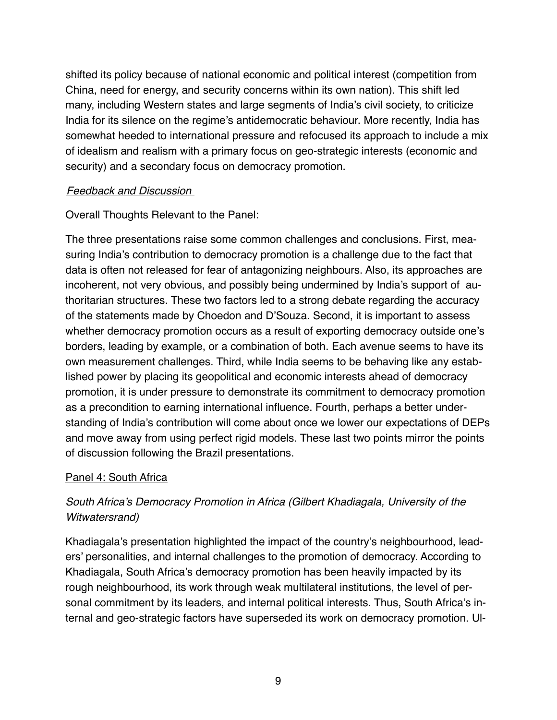shifted its policy because of national economic and political interest (competition from China, need for energy, and security concerns within its own nation). This shift led many, including Western states and large segments of India's civil society, to criticize India for its silence on the regime's antidemocratic behaviour. More recently, India has somewhat heeded to international pressure and refocused its approach to include a mix of idealism and realism with a primary focus on geo-strategic interests (economic and security) and a secondary focus on democracy promotion.

#### *Feedback and Discussion*

Overall Thoughts Relevant to the Panel:

The three presentations raise some common challenges and conclusions. First, measuring India's contribution to democracy promotion is a challenge due to the fact that data is often not released for fear of antagonizing neighbours. Also, its approaches are incoherent, not very obvious, and possibly being undermined by India's support of authoritarian structures. These two factors led to a strong debate regarding the accuracy of the statements made by Choedon and D'Souza. Second, it is important to assess whether democracy promotion occurs as a result of exporting democracy outside one's borders, leading by example, or a combination of both. Each avenue seems to have its own measurement challenges. Third, while India seems to be behaving like any established power by placing its geopolitical and economic interests ahead of democracy promotion, it is under pressure to demonstrate its commitment to democracy promotion as a precondition to earning international influence. Fourth, perhaps a better understanding of India's contribution will come about once we lower our expectations of DEPs and move away from using perfect rigid models. These last two points mirror the points of discussion following the Brazil presentations.

### Panel 4: South Africa

# *South Africa's Democracy Promotion in Africa (Gilbert Khadiagala, University of the Witwatersrand)*

Khadiagala's presentation highlighted the impact of the country's neighbourhood, leaders' personalities, and internal challenges to the promotion of democracy. According to Khadiagala, South Africa's democracy promotion has been heavily impacted by its rough neighbourhood, its work through weak multilateral institutions, the level of personal commitment by its leaders, and internal political interests. Thus, South Africa's internal and geo-strategic factors have superseded its work on democracy promotion. Ul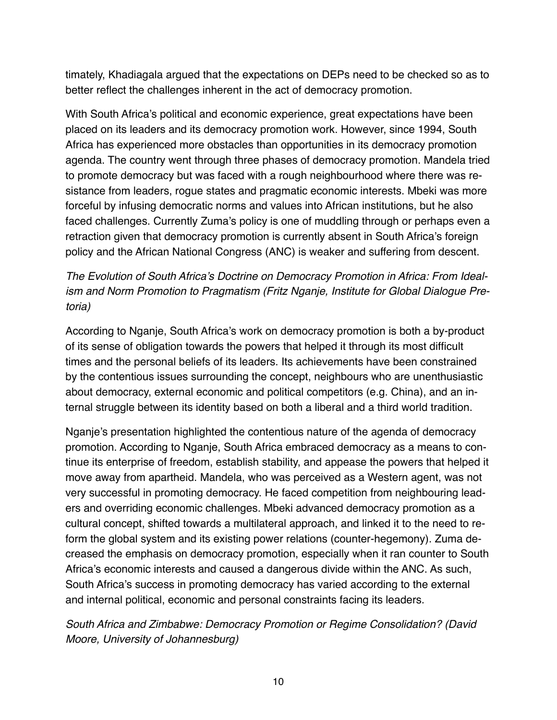timately, Khadiagala argued that the expectations on DEPs need to be checked so as to better reflect the challenges inherent in the act of democracy promotion.

With South Africa's political and economic experience, great expectations have been placed on its leaders and its democracy promotion work. However, since 1994, South Africa has experienced more obstacles than opportunities in its democracy promotion agenda. The country went through three phases of democracy promotion. Mandela tried to promote democracy but was faced with a rough neighbourhood where there was resistance from leaders, rogue states and pragmatic economic interests. Mbeki was more forceful by infusing democratic norms and values into African institutions, but he also faced challenges. Currently Zuma's policy is one of muddling through or perhaps even a retraction given that democracy promotion is currently absent in South Africa's foreign policy and the African National Congress (ANC) is weaker and suffering from descent.

# *The Evolution of South Africa's Doctrine on Democracy Promotion in Africa: From Idealism and Norm Promotion to Pragmatism (Fritz Nganje, Institute for Global Dialogue Pretoria)*

According to Nganje, South Africa's work on democracy promotion is both a by-product of its sense of obligation towards the powers that helped it through its most difficult times and the personal beliefs of its leaders. Its achievements have been constrained by the contentious issues surrounding the concept, neighbours who are unenthusiastic about democracy, external economic and political competitors (e.g. China), and an internal struggle between its identity based on both a liberal and a third world tradition.

Nganje's presentation highlighted the contentious nature of the agenda of democracy promotion. According to Nganje, South Africa embraced democracy as a means to continue its enterprise of freedom, establish stability, and appease the powers that helped it move away from apartheid. Mandela, who was perceived as a Western agent, was not very successful in promoting democracy. He faced competition from neighbouring leaders and overriding economic challenges. Mbeki advanced democracy promotion as a cultural concept, shifted towards a multilateral approach, and linked it to the need to reform the global system and its existing power relations (counter-hegemony). Zuma decreased the emphasis on democracy promotion, especially when it ran counter to South Africa's economic interests and caused a dangerous divide within the ANC. As such, South Africa's success in promoting democracy has varied according to the external and internal political, economic and personal constraints facing its leaders.

### *South Africa and Zimbabwe: Democracy Promotion or Regime Consolidation? (David Moore, University of Johannesburg)*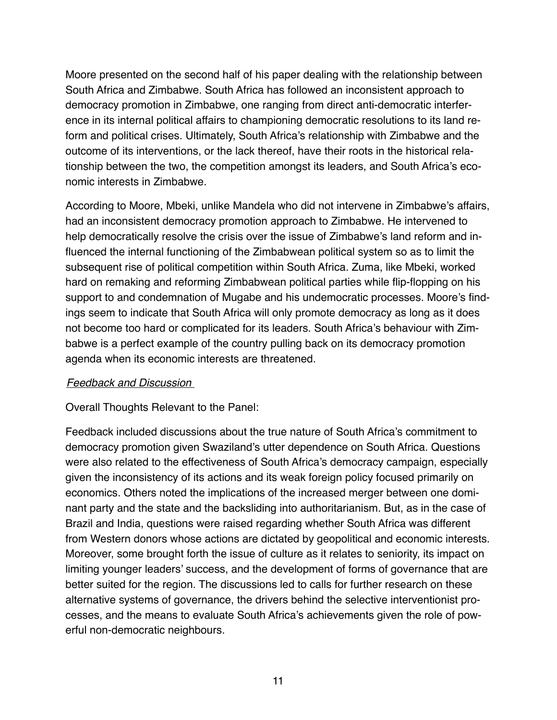Moore presented on the second half of his paper dealing with the relationship between South Africa and Zimbabwe. South Africa has followed an inconsistent approach to democracy promotion in Zimbabwe, one ranging from direct anti-democratic interference in its internal political affairs to championing democratic resolutions to its land reform and political crises. Ultimately, South Africa's relationship with Zimbabwe and the outcome of its interventions, or the lack thereof, have their roots in the historical relationship between the two, the competition amongst its leaders, and South Africa's economic interests in Zimbabwe.

According to Moore, Mbeki, unlike Mandela who did not intervene in Zimbabwe's affairs, had an inconsistent democracy promotion approach to Zimbabwe. He intervened to help democratically resolve the crisis over the issue of Zimbabwe's land reform and influenced the internal functioning of the Zimbabwean political system so as to limit the subsequent rise of political competition within South Africa. Zuma, like Mbeki, worked hard on remaking and reforming Zimbabwean political parties while flip-flopping on his support to and condemnation of Mugabe and his undemocratic processes. Moore's findings seem to indicate that South Africa will only promote democracy as long as it does not become too hard or complicated for its leaders. South Africa's behaviour with Zimbabwe is a perfect example of the country pulling back on its democracy promotion agenda when its economic interests are threatened.

#### *Feedback and Discussion*

Overall Thoughts Relevant to the Panel:

Feedback included discussions about the true nature of South Africa's commitment to democracy promotion given Swaziland's utter dependence on South Africa. Questions were also related to the effectiveness of South Africa's democracy campaign, especially given the inconsistency of its actions and its weak foreign policy focused primarily on economics. Others noted the implications of the increased merger between one dominant party and the state and the backsliding into authoritarianism. But, as in the case of Brazil and India, questions were raised regarding whether South Africa was different from Western donors whose actions are dictated by geopolitical and economic interests. Moreover, some brought forth the issue of culture as it relates to seniority, its impact on limiting younger leaders' success, and the development of forms of governance that are better suited for the region. The discussions led to calls for further research on these alternative systems of governance, the drivers behind the selective interventionist processes, and the means to evaluate South Africa's achievements given the role of powerful non-democratic neighbours.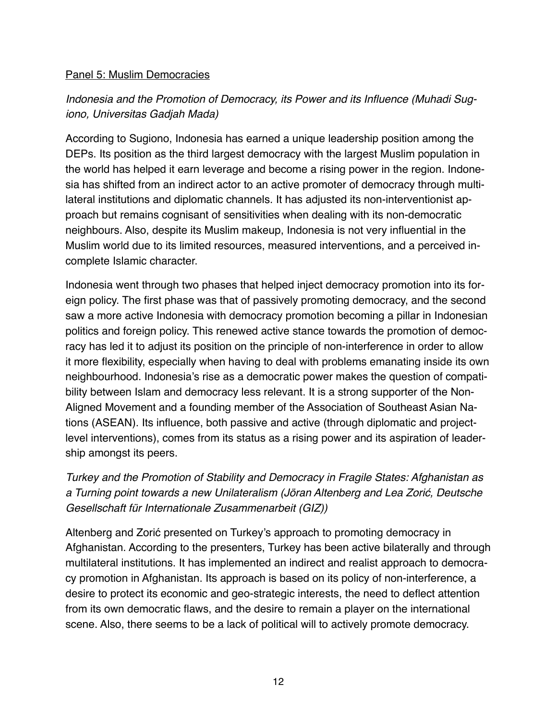#### Panel 5: Muslim Democracies

# *Indonesia and the Promotion of Democracy, its Power and its Influence (Muhadi Sugiono, Universitas Gadjah Mada)*

According to Sugiono, Indonesia has earned a unique leadership position among the DEPs. Its position as the third largest democracy with the largest Muslim population in the world has helped it earn leverage and become a rising power in the region. Indonesia has shifted from an indirect actor to an active promoter of democracy through multilateral institutions and diplomatic channels. It has adjusted its non-interventionist approach but remains cognisant of sensitivities when dealing with its non-democratic neighbours. Also, despite its Muslim makeup, Indonesia is not very influential in the Muslim world due to its limited resources, measured interventions, and a perceived incomplete Islamic character.

Indonesia went through two phases that helped inject democracy promotion into its foreign policy. The first phase was that of passively promoting democracy, and the second saw a more active Indonesia with democracy promotion becoming a pillar in Indonesian politics and foreign policy. This renewed active stance towards the promotion of democracy has led it to adjust its position on the principle of non-interference in order to allow it more flexibility, especially when having to deal with problems emanating inside its own neighbourhood. Indonesia's rise as a democratic power makes the question of compatibility between Islam and democracy less relevant. It is a strong supporter of the Non-Aligned Movement and a founding member of the Association of Southeast Asian Nations (ASEAN). Its influence, both passive and active (through diplomatic and projectlevel interventions), comes from its status as a rising power and its aspiration of leadership amongst its peers.

# *Turkey and the Promotion of Stability and Democracy in Fragile States: Afghanistan as a Turning point towards a new Unilateralism (Jöran Altenberg and Lea Zori*ć*, Deutsche Gesellschaft für Internationale Zusammenarbeit (GIZ))*

Altenberg and Zorić presented on Turkey's approach to promoting democracy in Afghanistan. According to the presenters, Turkey has been active bilaterally and through multilateral institutions. It has implemented an indirect and realist approach to democracy promotion in Afghanistan. Its approach is based on its policy of non-interference, a desire to protect its economic and geo-strategic interests, the need to deflect attention from its own democratic flaws, and the desire to remain a player on the international scene. Also, there seems to be a lack of political will to actively promote democracy.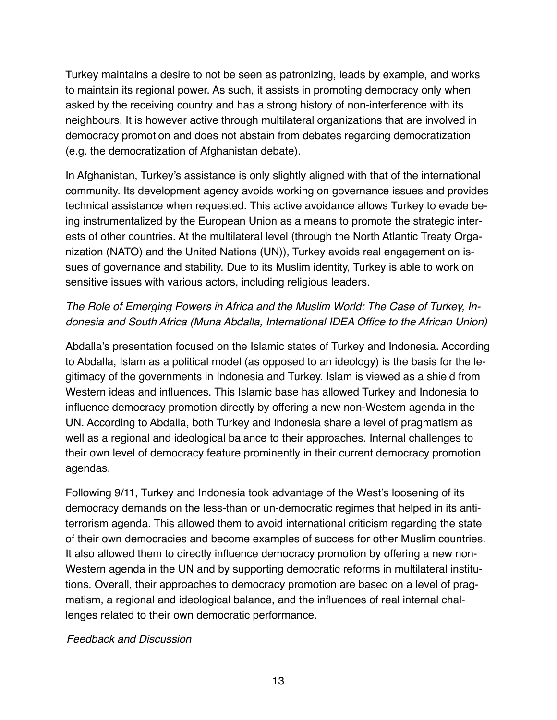Turkey maintains a desire to not be seen as patronizing, leads by example, and works to maintain its regional power. As such, it assists in promoting democracy only when asked by the receiving country and has a strong history of non-interference with its neighbours. It is however active through multilateral organizations that are involved in democracy promotion and does not abstain from debates regarding democratization (e.g. the democratization of Afghanistan debate).

In Afghanistan, Turkey's assistance is only slightly aligned with that of the international community. Its development agency avoids working on governance issues and provides technical assistance when requested. This active avoidance allows Turkey to evade being instrumentalized by the European Union as a means to promote the strategic interests of other countries. At the multilateral level (through the North Atlantic Treaty Organization (NATO) and the United Nations (UN)), Turkey avoids real engagement on issues of governance and stability. Due to its Muslim identity, Turkey is able to work on sensitive issues with various actors, including religious leaders.

### *The Role of Emerging Powers in Africa and the Muslim World: The Case of Turkey, Indonesia and South Africa (Muna Abdalla, International IDEA Office to the African Union)*

Abdalla's presentation focused on the Islamic states of Turkey and Indonesia. According to Abdalla, Islam as a political model (as opposed to an ideology) is the basis for the legitimacy of the governments in Indonesia and Turkey. Islam is viewed as a shield from Western ideas and influences. This Islamic base has allowed Turkey and Indonesia to influence democracy promotion directly by offering a new non-Western agenda in the UN. According to Abdalla, both Turkey and Indonesia share a level of pragmatism as well as a regional and ideological balance to their approaches. Internal challenges to their own level of democracy feature prominently in their current democracy promotion agendas.

Following 9/11, Turkey and Indonesia took advantage of the West's loosening of its democracy demands on the less-than or un-democratic regimes that helped in its antiterrorism agenda. This allowed them to avoid international criticism regarding the state of their own democracies and become examples of success for other Muslim countries. It also allowed them to directly influence democracy promotion by offering a new non-Western agenda in the UN and by supporting democratic reforms in multilateral institutions. Overall, their approaches to democracy promotion are based on a level of pragmatism, a regional and ideological balance, and the influences of real internal challenges related to their own democratic performance.

#### *Feedback and Discussion*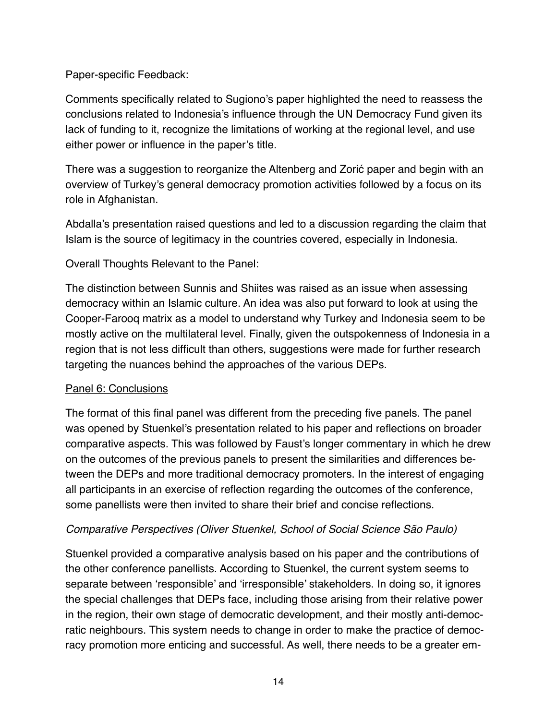### Paper-specific Feedback:

Comments specifically related to Sugiono's paper highlighted the need to reassess the conclusions related to Indonesia's influence through the UN Democracy Fund given its lack of funding to it, recognize the limitations of working at the regional level, and use either power or influence in the paper's title.

There was a suggestion to reorganize the Altenberg and Zorić paper and begin with an overview of Turkey's general democracy promotion activities followed by a focus on its role in Afghanistan.

Abdalla's presentation raised questions and led to a discussion regarding the claim that Islam is the source of legitimacy in the countries covered, especially in Indonesia.

Overall Thoughts Relevant to the Panel:

The distinction between Sunnis and Shiites was raised as an issue when assessing democracy within an Islamic culture. An idea was also put forward to look at using the Cooper-Farooq matrix as a model to understand why Turkey and Indonesia seem to be mostly active on the multilateral level. Finally, given the outspokenness of Indonesia in a region that is not less difficult than others, suggestions were made for further research targeting the nuances behind the approaches of the various DEPs.

### Panel 6: Conclusions

The format of this final panel was different from the preceding five panels. The panel was opened by Stuenkel's presentation related to his paper and reflections on broader comparative aspects. This was followed by Faust's longer commentary in which he drew on the outcomes of the previous panels to present the similarities and differences between the DEPs and more traditional democracy promoters. In the interest of engaging all participants in an exercise of reflection regarding the outcomes of the conference, some panellists were then invited to share their brief and concise reflections.

### *Comparative Perspectives (Oliver Stuenkel, School of Social Science São Paulo)*

Stuenkel provided a comparative analysis based on his paper and the contributions of the other conference panellists. According to Stuenkel, the current system seems to separate between 'responsible' and 'irresponsible' stakeholders. In doing so, it ignores the special challenges that DEPs face, including those arising from their relative power in the region, their own stage of democratic development, and their mostly anti-democratic neighbours. This system needs to change in order to make the practice of democracy promotion more enticing and successful. As well, there needs to be a greater em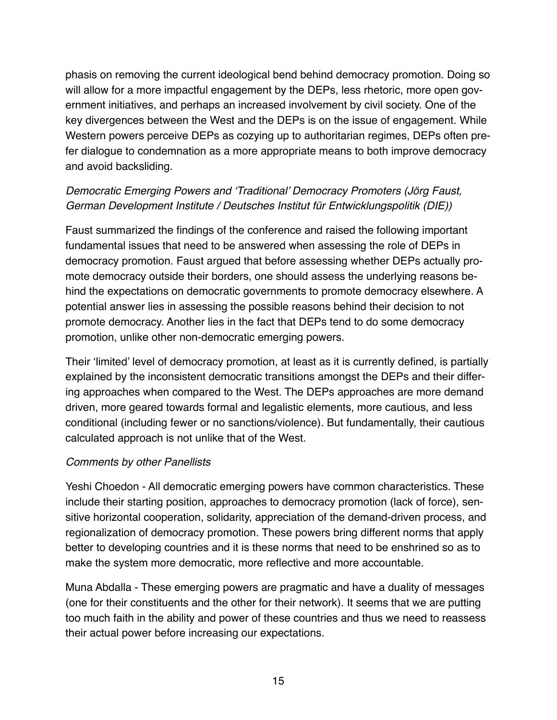phasis on removing the current ideological bend behind democracy promotion. Doing so will allow for a more impactful engagement by the DEPs, less rhetoric, more open government initiatives, and perhaps an increased involvement by civil society. One of the key divergences between the West and the DEPs is on the issue of engagement. While Western powers perceive DEPs as cozying up to authoritarian regimes, DEPs often prefer dialogue to condemnation as a more appropriate means to both improve democracy and avoid backsliding.

# *Democratic Emerging Powers and 'Traditional' Democracy Promoters (Jörg Faust, German Development Institute / Deutsches Institut für Entwicklungspolitik (DIE))*

Faust summarized the findings of the conference and raised the following important fundamental issues that need to be answered when assessing the role of DEPs in democracy promotion. Faust argued that before assessing whether DEPs actually promote democracy outside their borders, one should assess the underlying reasons behind the expectations on democratic governments to promote democracy elsewhere. A potential answer lies in assessing the possible reasons behind their decision to not promote democracy. Another lies in the fact that DEPs tend to do some democracy promotion, unlike other non-democratic emerging powers.

Their 'limited' level of democracy promotion, at least as it is currently defined, is partially explained by the inconsistent democratic transitions amongst the DEPs and their differing approaches when compared to the West. The DEPs approaches are more demand driven, more geared towards formal and legalistic elements, more cautious, and less conditional (including fewer or no sanctions/violence). But fundamentally, their cautious calculated approach is not unlike that of the West.

### *Comments by other Panellists*

Yeshi Choedon - All democratic emerging powers have common characteristics. These include their starting position, approaches to democracy promotion (lack of force), sensitive horizontal cooperation, solidarity, appreciation of the demand-driven process, and regionalization of democracy promotion. These powers bring different norms that apply better to developing countries and it is these norms that need to be enshrined so as to make the system more democratic, more reflective and more accountable.

Muna Abdalla - These emerging powers are pragmatic and have a duality of messages (one for their constituents and the other for their network). It seems that we are putting too much faith in the ability and power of these countries and thus we need to reassess their actual power before increasing our expectations.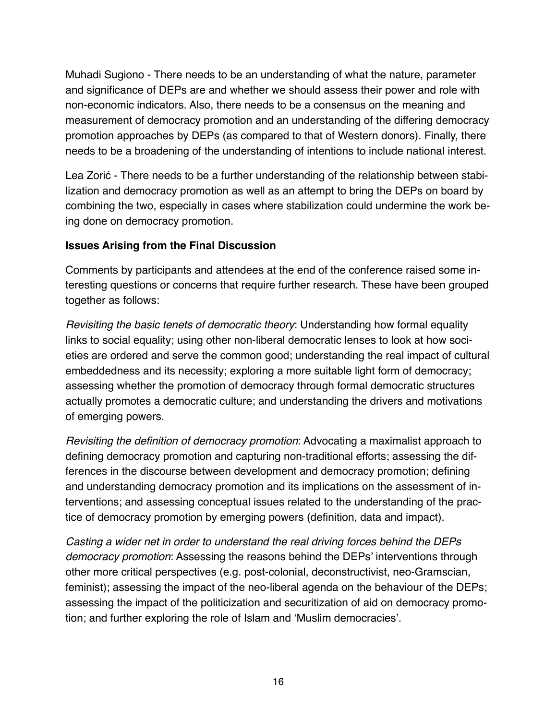Muhadi Sugiono - There needs to be an understanding of what the nature, parameter and significance of DEPs are and whether we should assess their power and role with non-economic indicators. Also, there needs to be a consensus on the meaning and measurement of democracy promotion and an understanding of the differing democracy promotion approaches by DEPs (as compared to that of Western donors). Finally, there needs to be a broadening of the understanding of intentions to include national interest.

Lea Zorić - There needs to be a further understanding of the relationship between stabilization and democracy promotion as well as an attempt to bring the DEPs on board by combining the two, especially in cases where stabilization could undermine the work being done on democracy promotion.

### **Issues Arising from the Final Discussion**

Comments by participants and attendees at the end of the conference raised some interesting questions or concerns that require further research. These have been grouped together as follows:

*Revisiting the basic tenets of democratic theory*: Understanding how formal equality links to social equality; using other non-liberal democratic lenses to look at how societies are ordered and serve the common good; understanding the real impact of cultural embeddedness and its necessity; exploring a more suitable light form of democracy; assessing whether the promotion of democracy through formal democratic structures actually promotes a democratic culture; and understanding the drivers and motivations of emerging powers.

*Revisiting the definition of democracy promotion*: Advocating a maximalist approach to defining democracy promotion and capturing non-traditional efforts; assessing the differences in the discourse between development and democracy promotion; defining and understanding democracy promotion and its implications on the assessment of interventions; and assessing conceptual issues related to the understanding of the practice of democracy promotion by emerging powers (definition, data and impact).

*Casting a wider net in order to understand the real driving forces behind the DEPs democracy promotion*: Assessing the reasons behind the DEPs' interventions through other more critical perspectives (e.g. post-colonial, deconstructivist, neo-Gramscian, feminist); assessing the impact of the neo-liberal agenda on the behaviour of the DEPs; assessing the impact of the politicization and securitization of aid on democracy promotion; and further exploring the role of Islam and 'Muslim democracies'.